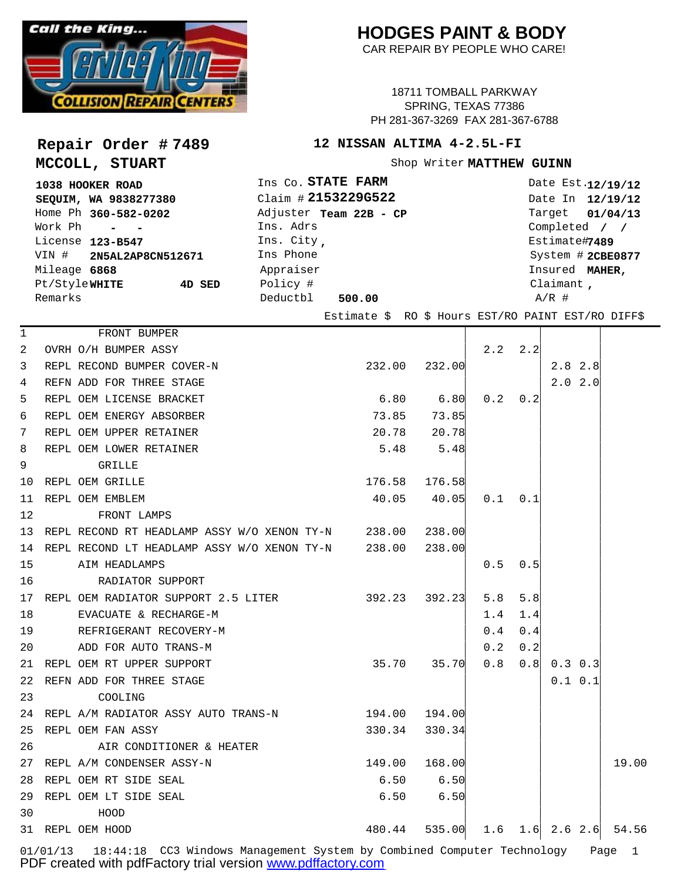

**Repair Order # 7489**

**MCCOLL, STUART**

## **HODGES PAINT & BODY**

CAR REPAIR BY PEOPLE WHO CARE!

18711 TOMBALL PARKWAY SPRING, TEXAS 77386 PH 281-367-3269 FAX 281-367-6788

## **12 NISSAN ALTIMA 4-2.5L-FI**

Shop Writer MATTHEW GUINN

| 1038 HOOKER ROAD        |        | Ins Co. STATE FARM     | Date Est.12/19/12 |
|-------------------------|--------|------------------------|-------------------|
| SEQUIM, WA 9838277380   |        | Claim # 2153229G522    | Date In 12/19/12  |
| Home Ph 360-582-0202    |        | Adjuster Team 22B - CP | Target 01/04/13   |
| Work Ph - -             |        | Ins. Adrs              | Completed / /     |
| License 123-B547        |        | Ins. City,             | Estimate#7489     |
| VIN # 2N5AL2AP8CN512671 |        | Ins Phone              | System # 2CBE0877 |
| Mileage 6868            |        | Appraiser              | Insured MAHER,    |
| Pt/StyleWHITE           | 4D SED | Policy #               | Claimant,         |
| Remarks                 |        | Deductbl<br>500.00     | $A/R$ #           |

Estimate \$ RO \$ Hours EST/RO PAINT EST/RO DIFF\$

| 1  | FRONT BUMPER                                                 |               |                                     |     |                 |               |       |
|----|--------------------------------------------------------------|---------------|-------------------------------------|-----|-----------------|---------------|-------|
| 2  | OVRH O/H BUMPER ASSY                                         |               |                                     |     | $2.2$ $2.2$     |               |       |
| 3  | REPL RECOND BUMPER COVER-N                                   |               | 232.00 232.00                       |     |                 | $2.8$ 2.8     |       |
| 4  | REFN ADD FOR THREE STAGE                                     |               |                                     |     |                 | $2.0$ $2.0$   |       |
| 5  | REPL OEM LICENSE BRACKET                                     |               | $6.80$ $6.80$ $0.2$ $0.2$           |     |                 |               |       |
| 6  | REPL OEM ENERGY ABSORBER                                     |               | 73.85 73.85                         |     |                 |               |       |
| 7  | REPL OEM UPPER RETAINER                                      |               | 20.78 20.78                         |     |                 |               |       |
| 8  | REPL OEM LOWER RETAINER                                      |               | $5.48$ $5.48$                       |     |                 |               |       |
| 9  | <b>Example 19 GRILLE</b>                                     |               |                                     |     |                 |               |       |
| 10 | REPL OEM GRILLE                                              |               | 176.58 176.58                       |     |                 |               |       |
| 11 | REPL OEM EMBLEM                                              |               | $40.05$ $40.05$                     |     | $0.1 \quad 0.1$ |               |       |
| 12 | FRONT LAMPS                                                  |               |                                     |     |                 |               |       |
|    | 13 REPL RECOND RT HEADLAMP ASSY W/O XENON TY-N 238.00 238.00 |               |                                     |     |                 |               |       |
|    | 14 REPL RECOND LT HEADLAMP ASSY W/O XENON TY-N 238.00 238.00 |               |                                     |     |                 |               |       |
|    | 15 AIM HEADLAMPS                                             |               |                                     | 0.5 | 0.5             |               |       |
| 16 | RADIATOR SUPPORT                                             |               |                                     |     |                 |               |       |
|    | 17 REPL OEM RADIATOR SUPPORT 2.5 LITER 392.23 392.23         |               |                                     | 5.8 | 5.8             |               |       |
| 18 | EVACUATE & RECHARGE-M                                        |               |                                     | 1.4 | 1.4             |               |       |
| 19 | REFRIGERANT RECOVERY-M                                       |               |                                     | 0.4 | 0.4             |               |       |
|    | 20 ADD FOR AUTO TRANS-M                                      |               |                                     | 0.2 | 0.2             |               |       |
|    | 21 REPL OEM RT UPPER SUPPORT                                 |               | 35.70 35.70                         | 0.8 |                 | $0.8$ 0.3 0.3 |       |
|    | 22 REFN ADD FOR THREE STAGE                                  |               |                                     |     |                 | 0.1 0.1       |       |
| 23 | <b>COOLING</b>                                               |               |                                     |     |                 |               |       |
|    | 24 REPL A/M RADIATOR ASSY AUTO TRANS-N 194.00 194.00         |               |                                     |     |                 |               |       |
|    | 25 REPL OEM FAN ASSY                                         |               | 330.34 330.34                       |     |                 |               |       |
| 26 | AIR CONDITIONER & HEATER                                     |               |                                     |     |                 |               |       |
|    | 27 REPL A/M CONDENSER ASSY-N                                 | 149.00 168.00 |                                     |     |                 |               | 19.00 |
|    | 28 REPL OEM RT SIDE SEAL                                     | $6.50$ $6.50$ |                                     |     |                 |               |       |
|    | 29 REPL OEM LT SIDE SEAL                                     |               | $6.50$ $6.50$                       |     |                 |               |       |
| 30 | HOOD HOOD                                                    |               |                                     |     |                 |               |       |
|    | 31 REPL OEM HOOD                                             |               | 480.44 535.00 1.6 1.6 2.6 2.6 54.56 |     |                 |               |       |
|    |                                                              |               |                                     |     |                 |               |       |

01/01/13 18:44:18 CC3 Windows Management System by Combined Computer Technology Page 1 PDF created with pdfFactory trial version [www.pdffactory.com](http://www.pdffactory.com)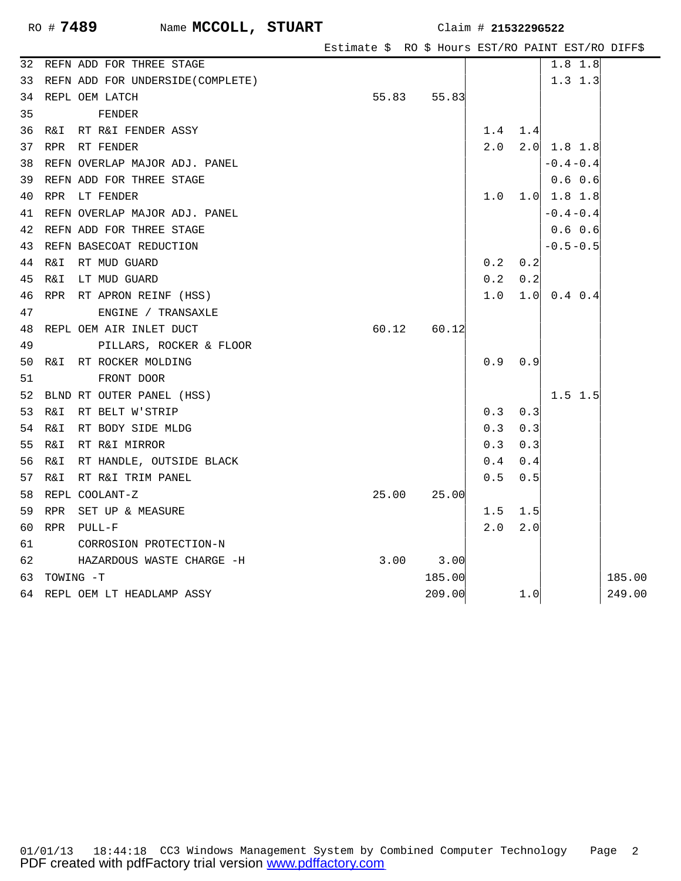| Estimate \$ RO \$ Hours EST/RO PAINT EST/RO DIFF\$ |  |  |  |  |  |  |  |  |
|----------------------------------------------------|--|--|--|--|--|--|--|--|
|----------------------------------------------------|--|--|--|--|--|--|--|--|

| 32 | REFN ADD FOR THREE STAGE             |       |               |               |       | 1.8 1.8           |        |
|----|--------------------------------------|-------|---------------|---------------|-------|-------------------|--------|
|    | 33 REFN ADD FOR UNDERSIDE (COMPLETE) |       |               |               |       | 1.3 1.3           |        |
|    | 34 REPL OEM LATCH                    |       | 55.83 55.83   |               |       |                   |        |
| 35 | FENDER                               |       |               |               |       |                   |        |
|    | 36 R&I RT R&I FENDER ASSY            |       |               | 1.4           | 1.4   |                   |        |
|    | 37 RPR RT FENDER                     |       |               | 2.0           |       | $2.0$ 1.8 1.8     |        |
|    | 38 REFN OVERLAP MAJOR ADJ. PANEL     |       |               |               |       | $-0.4 - 0.4$      |        |
|    | 39 REFN ADD FOR THREE STAGE          |       |               |               |       | 0.6 0.6           |        |
|    | 40 RPR LT FENDER                     |       |               | 1.0           |       | $1.0 \ 1.8 \ 1.8$ |        |
|    | 41 REFN OVERLAP MAJOR ADJ. PANEL     |       |               |               |       | $-0.4 - 0.4$      |        |
|    | 42 REFN ADD FOR THREE STAGE          |       |               |               |       | $0.6 \t 0.6$      |        |
|    | 43 REFN BASECOAT REDUCTION           |       |               |               |       | $-0.5 - 0.5$      |        |
|    | 44 R&I RT MUD GUARD                  |       |               | 0.2           | 0.2   |                   |        |
| 45 | R&I LT MUD GUARD                     |       |               | 0.2           | 0.2   |                   |        |
|    | 46 RPR RT APRON REINF (HSS)          |       |               | 1.0           |       | $1.0 \ 0.4 \ 0.4$ |        |
| 47 | ENGINE / TRANSAXLE                   |       |               |               |       |                   |        |
|    | 48 REPL OEM AIR INLET DUCT           |       | 60.12 60.12   |               |       |                   |        |
| 49 | PILLARS, ROCKER & FLOOR              |       |               |               |       |                   |        |
|    | 50 R&I RT ROCKER MOLDING             |       |               | 0.9           | 0.9   |                   |        |
| 51 | FRONT DOOR                           |       |               |               |       |                   |        |
|    | 52 BLND RT OUTER PANEL (HSS)         |       |               |               |       | $1.5$ 1.5         |        |
|    | 53 R&I<br>RT BELT W'STRIP            |       |               | 0.3           | 0.3   |                   |        |
|    | 54 R&I<br>RT BODY SIDE MLDG          |       |               | 0.3           | 0.3   |                   |        |
|    | 55 R&I RT R&I MIRROR                 |       |               | 0.3           | 0.3   |                   |        |
|    | 56 R&I RT HANDLE, OUTSIDE BLACK      |       |               | 0.4           | 0.4   |                   |        |
|    | 57 R&I<br>RT R&I TRIM PANEL          |       |               | 0.5           | 0.5   |                   |        |
|    | 58 REPL COOLANT-Z                    | 25.00 | 25.00         |               |       |                   |        |
|    | 59 RPR SET UP & MEASURE              |       |               | 1.5           | 1.5   |                   |        |
| 60 | RPR PULL-F                           |       |               | $2 \, . \, 0$ | 2.0   |                   |        |
| 61 | CORROSION PROTECTION-N               |       |               |               |       |                   |        |
| 62 | HAZARDOUS WASTE CHARGE -H            |       | $3.00$ $3.00$ |               |       |                   |        |
|    | 63 TOWING -T                         |       | 185.00        |               |       |                   | 185.00 |
|    | 64 REPL OEM LT HEADLAMP ASSY         |       | 209.00        |               | $1.0$ |                   | 249.00 |
|    |                                      |       |               |               |       |                   |        |